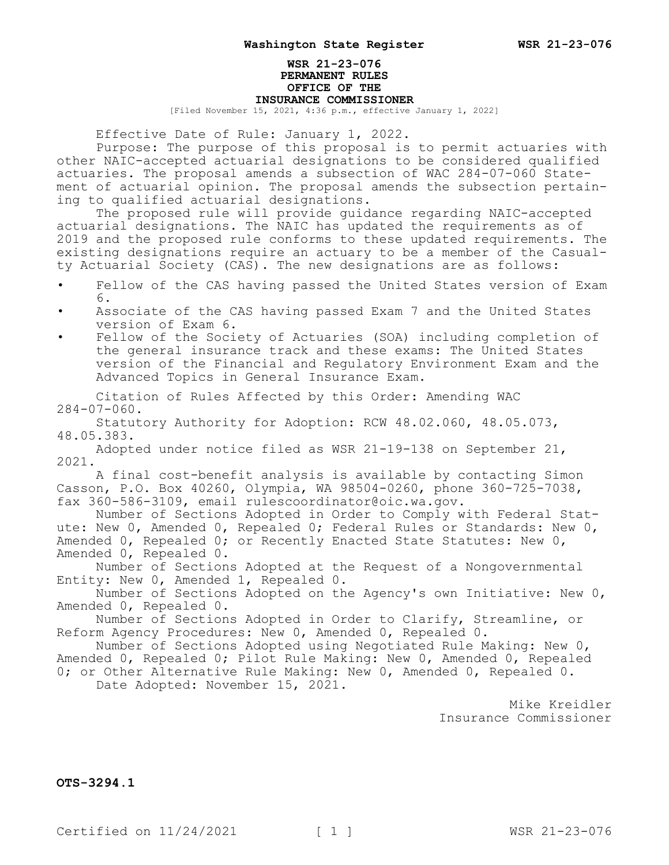## **WSR 21-23-076 PERMANENT RULES OFFICE OF THE INSURANCE COMMISSIONER**

[Filed November 15, 2021, 4:36 p.m., effective January 1, 2022]

Effective Date of Rule: January 1, 2022.

Purpose: The purpose of this proposal is to permit actuaries with other NAIC-accepted actuarial designations to be considered qualified actuaries. The proposal amends a subsection of WAC 284-07-060 Statement of actuarial opinion. The proposal amends the subsection pertaining to qualified actuarial designations.

The proposed rule will provide guidance regarding NAIC-accepted actuarial designations. The NAIC has updated the requirements as of 2019 and the proposed rule conforms to these updated requirements. The existing designations require an actuary to be a member of the Casualty Actuarial Society (CAS). The new designations are as follows:

- Fellow of the CAS having passed the United States version of Exam 6.
- Associate of the CAS having passed Exam 7 and the United States version of Exam 6.
- Fellow of the Society of Actuaries (SOA) including completion of the general insurance track and these exams: The United States version of the Financial and Regulatory Environment Exam and the Advanced Topics in General Insurance Exam.

Citation of Rules Affected by this Order: Amending WAC  $284 - 07 - 060$ .

Statutory Authority for Adoption: RCW 48.02.060, 48.05.073, 48.05.383.

Adopted under notice filed as WSR 21-19-138 on September 21, 2021.

A final cost-benefit analysis is available by contacting Simon Casson, P.O. Box 40260, Olympia, WA 98504-0260, phone 360-725-7038, fax 360-586-3109, email rulescoordinator@oic.wa.gov.

Number of Sections Adopted in Order to Comply with Federal Statute: New 0, Amended 0, Repealed 0; Federal Rules or Standards: New 0, Amended 0, Repealed 0; or Recently Enacted State Statutes: New 0, Amended 0, Repealed 0.

Number of Sections Adopted at the Request of a Nongovernmental Entity: New 0, Amended 1, Repealed 0.

Number of Sections Adopted on the Agency's own Initiative: New 0, Amended 0, Repealed 0.

Number of Sections Adopted in Order to Clarify, Streamline, or Reform Agency Procedures: New 0, Amended 0, Repealed 0.

Number of Sections Adopted using Negotiated Rule Making: New 0, Amended 0, Repealed 0; Pilot Rule Making: New 0, Amended 0, Repealed 0; or Other Alternative Rule Making: New 0, Amended 0, Repealed 0. Date Adopted: November 15, 2021.

> Mike Kreidler Insurance Commissioner

**OTS-3294.1**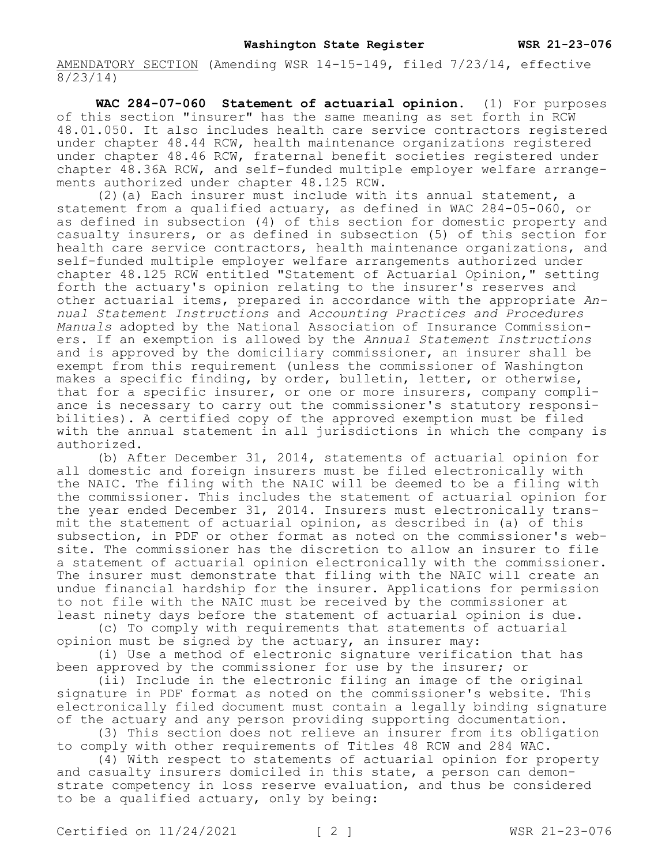AMENDATORY SECTION (Amending WSR 14-15-149, filed 7/23/14, effective 8/23/14)

**WAC 284-07-060 Statement of actuarial opinion.** (1) For purposes of this section "insurer" has the same meaning as set forth in RCW 48.01.050. It also includes health care service contractors registered under chapter 48.44 RCW, health maintenance organizations registered under chapter 48.46 RCW, fraternal benefit societies registered under chapter 48.36A RCW, and self-funded multiple employer welfare arrangements authorized under chapter 48.125 RCW.

(2)(a) Each insurer must include with its annual statement, a statement from a qualified actuary, as defined in WAC 284-05-060, or as defined in subsection (4) of this section for domestic property and casualty insurers, or as defined in subsection (5) of this section for health care service contractors, health maintenance organizations, and self-funded multiple employer welfare arrangements authorized under chapter 48.125 RCW entitled "Statement of Actuarial Opinion," setting forth the actuary's opinion relating to the insurer's reserves and other actuarial items, prepared in accordance with the appropriate *Annual Statement Instructions* and *Accounting Practices and Procedures Manuals* adopted by the National Association of Insurance Commissioners. If an exemption is allowed by the *Annual Statement Instructions*  and is approved by the domiciliary commissioner, an insurer shall be exempt from this requirement (unless the commissioner of Washington makes a specific finding, by order, bulletin, letter, or otherwise, that for a specific insurer, or one or more insurers, company compliance is necessary to carry out the commissioner's statutory responsibilities). A certified copy of the approved exemption must be filed with the annual statement in all jurisdictions in which the company is authorized.

(b) After December 31, 2014, statements of actuarial opinion for all domestic and foreign insurers must be filed electronically with the NAIC. The filing with the NAIC will be deemed to be a filing with the commissioner. This includes the statement of actuarial opinion for the year ended December 31, 2014. Insurers must electronically transmit the statement of actuarial opinion, as described in (a) of this subsection, in PDF or other format as noted on the commissioner's website. The commissioner has the discretion to allow an insurer to file a statement of actuarial opinion electronically with the commissioner. The insurer must demonstrate that filing with the NAIC will create an undue financial hardship for the insurer. Applications for permission to not file with the NAIC must be received by the commissioner at least ninety days before the statement of actuarial opinion is due.

(c) To comply with requirements that statements of actuarial opinion must be signed by the actuary, an insurer may:

(i) Use a method of electronic signature verification that has been approved by the commissioner for use by the insurer; or

(ii) Include in the electronic filing an image of the original signature in PDF format as noted on the commissioner's website. This electronically filed document must contain a legally binding signature of the actuary and any person providing supporting documentation.

(3) This section does not relieve an insurer from its obligation to comply with other requirements of Titles 48 RCW and 284 WAC.

(4) With respect to statements of actuarial opinion for property and casualty insurers domiciled in this state, a person can demonstrate competency in loss reserve evaluation, and thus be considered to be a qualified actuary, only by being: